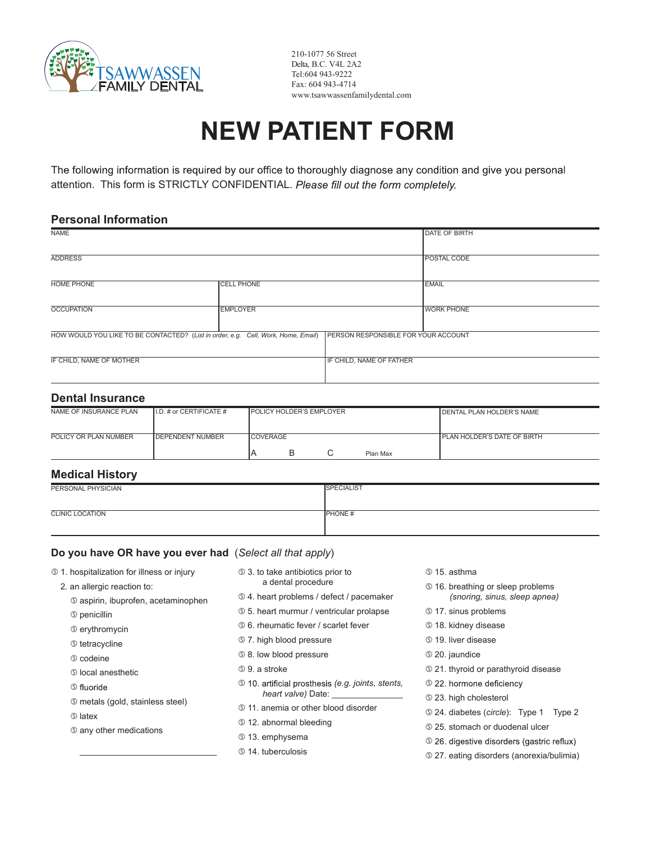

210-1077 56 Street Delta, B.C. V4L 2A2 Tel:604 943-9222 Fax: 604 943-4714 www.tsawwassenfamilydental.com

# **NEW PATIENT FORM**

The following information is required by our office to thoroughly diagnose any condition and give you personal attention. This form is STRICTLY CONFIDENTIAL. Please fill out the form completely.

#### **Personal Information**

| <b>NAME</b>                                                                       |                   |                                            | <b>DATE OF BIRTH</b> |
|-----------------------------------------------------------------------------------|-------------------|--------------------------------------------|----------------------|
|                                                                                   |                   |                                            |                      |
| <b>ADDRESS</b>                                                                    |                   |                                            | POSTAL CODE          |
|                                                                                   |                   |                                            |                      |
| <b>HOME PHONE</b>                                                                 | <b>CELL PHONE</b> |                                            | <b>EMAIL</b>         |
|                                                                                   |                   |                                            |                      |
| <b>OCCUPATION</b>                                                                 | <b>EMPLOYER</b>   |                                            | <b>WORK PHONE</b>    |
|                                                                                   |                   |                                            |                      |
| HOW WOULD YOU LIKE TO BE CONTACTED? (List in order, e.g. Cell, Work, Home, Email) |                   | <b>PERSON RESPONSIBLE FOR YOUR ACCOUNT</b> |                      |
|                                                                                   |                   |                                            |                      |
| IF CHILD, NAME OF MOTHER                                                          |                   | IF CHILD, NAME OF FATHER                   |                      |
|                                                                                   |                   |                                            |                      |

#### **Dental Insurance**

| NAME OF INSURANCE PLAN | $II.D.$ # or CERTIFICATE # | <b>IPOLICY HOLDER'S EMPLOYER</b> |  |  |          | <b>I</b> DENTAL PLAN HOLDER'S NAME   |
|------------------------|----------------------------|----------------------------------|--|--|----------|--------------------------------------|
| POLICY OR PLAN NUMBER  | <b>IDEPENDENT NUMBER</b>   | <b>COVERAGE</b>                  |  |  | Plan Max | <b>I PLAN HOLDER'S DATE OF BIRTH</b> |

### **Medical History**

| PERSONAL PHYSICIAN     | <b>SPECIALIST</b> |
|------------------------|-------------------|
|                        |                   |
| <b>CLINIC LOCATION</b> | <b>PHONE#</b>     |
|                        |                   |

#### **Do you have OR have you ever had** (*Select all that apply*)

- g 1. hospitalization for illness or injury
	- 2. an allergic reaction to:
		- g aspirin, ibuprofen, acetaminophen
		- g penicillin
		- g erythromycin
		- **S** tetracycline
		- g codeine
		- g local anesthetic
		- **S** fluoride
		- g metals (gold, stainless steel)
		- g latex
		- g any other medications

\_\_\_\_\_\_\_\_\_\_\_\_\_\_\_\_\_\_\_\_\_\_\_\_\_\_\_\_\_

- g 3. to take antibiotics prior to a dental procedure
- g 4. heart problems / defect / pacemaker
- g 5. heart murmur / ventricular prolapse
- g 6. rheumatic fever / scarlet fever
- g 7. high blood pressure
- g 8. low blood pressure
- g 9. a stroke
- g *(e.g. joints, stents, heart valve)* Date:
- g 11. anemia or other blood disorder
- g 12. abnormal bleeding
- g 13. emphysema
- g 14. tuberculosis
- g 15. asthma
- g 16. breathing or sleep problems *(snoring, sinus, sleep apnea)*
- g 17. sinus problems
- g 18. kidney disease
- g 19. liver disease
- g 20. jaundice
- g 21. thyroid or parathyroid disease
- **5 22. hormone deficiency**
- g 23. high cholesterol
- g 24. diabetes (*circle*): Type 1 Type 2
- g 25. stomach or duodenal ulcer
- **S** 26. digestive disorders (gastric reflux)
- g 27. eating disorders (anorexia/bulimia)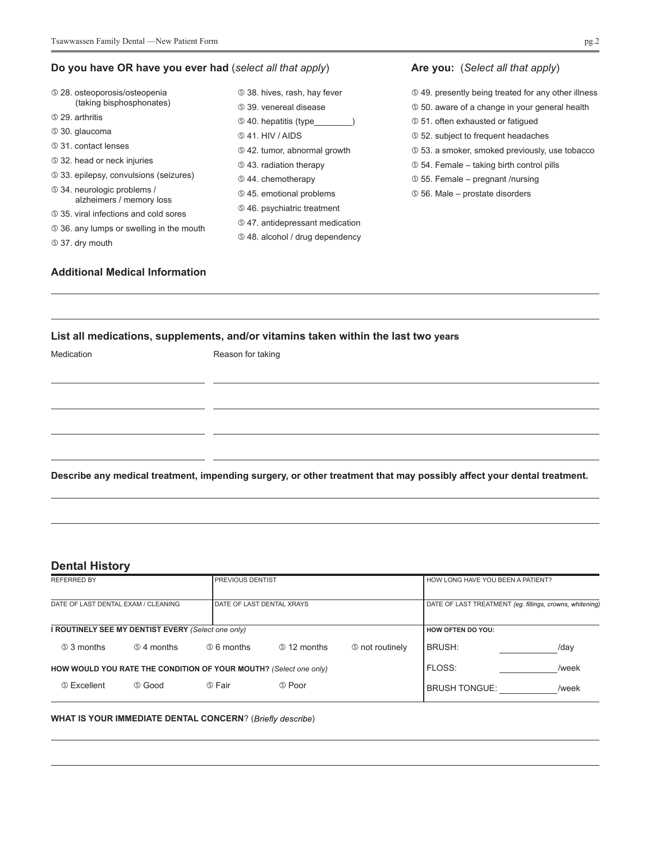#### **Do you have OR have you ever had** (*select all that apply*)

| <b>5 28. osteoporosis/osteopenia</b>                           | <b>5 38. hives, rash, hay fever</b>                     | <b> <b> </b> 49. presently being treated for any other illness</b> |  |  |  |
|----------------------------------------------------------------|---------------------------------------------------------|--------------------------------------------------------------------|--|--|--|
| (taking bisphosphonates)                                       | <b>5 39. venereal disease</b>                           | <b>50.</b> aware of a change in your general health                |  |  |  |
| <b>5 29. arthritis</b>                                         | <b>5 40. hepatitis (type</b>                            | <b>51.</b> often exhausted or fatiqued                             |  |  |  |
| <b>5 30. glaucoma</b>                                          | \$41. HIV/AIDS                                          | <b>52.</b> subject to frequent headaches                           |  |  |  |
| <b>5 31, contact lenses</b>                                    | <b>§ 42. tumor, abnormal growth</b>                     | <b>53. a smoker, smoked previously, use tobacco</b>                |  |  |  |
| <b>5 32. head or neck injuries</b>                             | <b>5 43. radiation therapy</b>                          | <b>S</b> 54. Female – taking birth control pills                   |  |  |  |
| <b>5 33. epilepsy, convulsions (seizures)</b>                  | <b>544. chemotherapy</b>                                | $\circ$ 55. Female – pregnant /nursing                             |  |  |  |
| <b>5 34. neurologic problems /</b><br>alzheimers / memory loss | <b>5 45. emotional problems</b>                         | <b>56. Male – prostate disorders</b>                               |  |  |  |
| <b><math>\circ</math> 35. viral infections and cold sores</b>  | <b><math>\circ</math> 46. psychiatric treatment</b>     |                                                                    |  |  |  |
| <b>S</b> 36, any lumps or swelling in the mouth                | <b><math>\circ</math> 47.</b> antidepressant medication |                                                                    |  |  |  |
| <b>5 37. dry mouth</b>                                         | <b><math>\circ</math> 48. alcohol / drug dependency</b> |                                                                    |  |  |  |

#### **Additional Medical Information**

## **List all medications, supplements, and/or vitamins taken within the last two years**

| Medication | Reason for taking                                                                                                     |  |
|------------|-----------------------------------------------------------------------------------------------------------------------|--|
|            |                                                                                                                       |  |
|            |                                                                                                                       |  |
|            |                                                                                                                       |  |
|            | Describe any medical treatment, impending surgery, or other treatment that may possibly affect your dental treatment. |  |

### **Dental History**

| <b>REFERRED BY</b>                                                |                                                    |                                  | <b>PREVIOUS DENTIST</b> |                        |                          | HOW LONG HAVE YOU BEEN A PATIENT?                        |  |
|-------------------------------------------------------------------|----------------------------------------------------|----------------------------------|-------------------------|------------------------|--------------------------|----------------------------------------------------------|--|
| DATE OF LAST DENTAL EXAM / CLEANING                               |                                                    | <b>DATE OF LAST DENTAL XRAYS</b> |                         |                        |                          | DATE OF LAST TREATMENT (eg. fillings, crowns, whitening) |  |
|                                                                   | I ROUTINELY SEE MY DENTIST EVERY (Select one only) |                                  |                         |                        | <b>HOW OFTEN DO YOU:</b> |                                                          |  |
| <b>53 months</b>                                                  | <b>54 months</b>                                   | <b>66 months</b>                 | <b>5 12 months</b>      | <b>5 not routinely</b> | <b>BRUSH:</b>            | /day                                                     |  |
| HOW WOULD YOU RATE THE CONDITION OF YOUR MOUTH? (Select one only) |                                                    |                                  |                         | FLOSS:                 | /week                    |                                                          |  |
| <b>5 Excellent</b>                                                | <b>5 Good</b>                                      | டு Fair                          | <b>5 Poor</b>           |                        | <b>BRUSH TONGUE:</b>     | /week                                                    |  |

#### **WHAT IS YOUR IMMEDIATE DENTAL CONCERN?** (Briefly describe)

**Are you:** (*Select all that apply*)